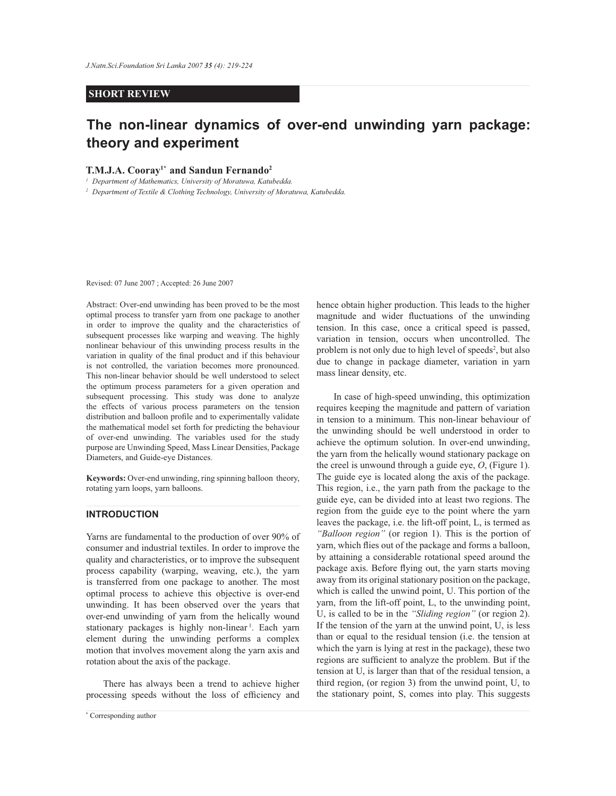## **SHORT REVIEW**

# **The non-linear dynamics of over-end unwinding yarn package: theory and experiment**

#### **T.M.J.A. Cooray1\* and Sandun Fernando<sup>2</sup>**

*<sup>1</sup>Department of Mathematics, University of Moratuwa, Katubedda.*

*<sup>2</sup>Department of Textile & Clothing Technology, University of Moratuwa, Katubedda.*

Revised: 07 June 2007 ; Accepted: 26 June 2007

Abstract: Over-end unwinding has been proved to be the most optimal process to transfer yarn from one package to another in order to improve the quality and the characteristics of subsequent processes like warping and weaving. The highly nonlinear behaviour of this unwinding process results in the variation in quality of the final product and if this behaviour is not controlled, the variation becomes more pronounced. This non-linear behavior should be well understood to select the optimum process parameters for a given operation and subsequent processing. This study was done to analyze the effects of various process parameters on the tension distribution and balloon profile and to experimentally validate the mathematical model set forth for predicting the behaviour of over-end unwinding. The variables used for the study purpose are Unwinding Speed, Mass Linear Densities, Package Diameters, and Guide-eye Distances.

**Keywords:** Over-end unwinding, ring spinning balloon theory, rotating yarn loops, yarn balloons.

## **INTRODUCTION**

Yarns are fundamental to the production of over 90% of consumer and industrial textiles. In order to improve the quality and characteristics, or to improve the subsequent process capability (warping, weaving, etc.), the yarn is transferred from one package to another. The most optimal process to achieve this objective is over-end unwinding. It has been observed over the years that over-end unwinding of yarn from the helically wound stationary packages is highly non-linear<sup>1</sup>. Each yarn element during the unwinding performs a complex motion that involves movement along the yarn axis and rotation about the axis of the package.

 There has always been a trend to achieve higher processing speeds without the loss of efficiency and hence obtain higher production. This leads to the higher magnitude and wider fluctuations of the unwinding tension. In this case, once a critical speed is passed, variation in tension, occurs when uncontrolled. The problem is not only due to high level of speeds<sup>2</sup>, but also due to change in package diameter, variation in yarn mass linear density, etc.

 In case of high-speed unwinding, this optimization requires keeping the magnitude and pattern of variation in tension to a minimum. This non-linear behaviour of the unwinding should be well understood in order to achieve the optimum solution. In over-end unwinding, the yarn from the helically wound stationary package on the creel is unwound through a guide eye, *O*, (Figure 1). The guide eye is located along the axis of the package. This region, i.e., the yarn path from the package to the guide eye, can be divided into at least two regions. The region from the guide eye to the point where the yarn leaves the package, i.e. the lift-off point, L, is termed as *"Balloon region"* (or region 1). This is the portion of yarn, which flies out of the package and forms a balloon, by attaining a considerable rotational speed around the package axis. Before flying out, the yarn starts moving away from its original stationary position on the package, which is called the unwind point, U. This portion of the yarn, from the lift-off point, L, to the unwinding point, U, is called to be in the *"Sliding region"* (or region 2). If the tension of the yarn at the unwind point, U, is less than or equal to the residual tension (i.e. the tension at which the yarn is lying at rest in the package), these two regions are sufficient to analyze the problem. But if the tension at U, is larger than that of the residual tension, a third region, (or region 3) from the unwind point, U, to the stationary point, S, comes into play. This suggests

*Journal of the National Science Foundation of Sri Lanka 35 (4) December 2007* \* Corresponding author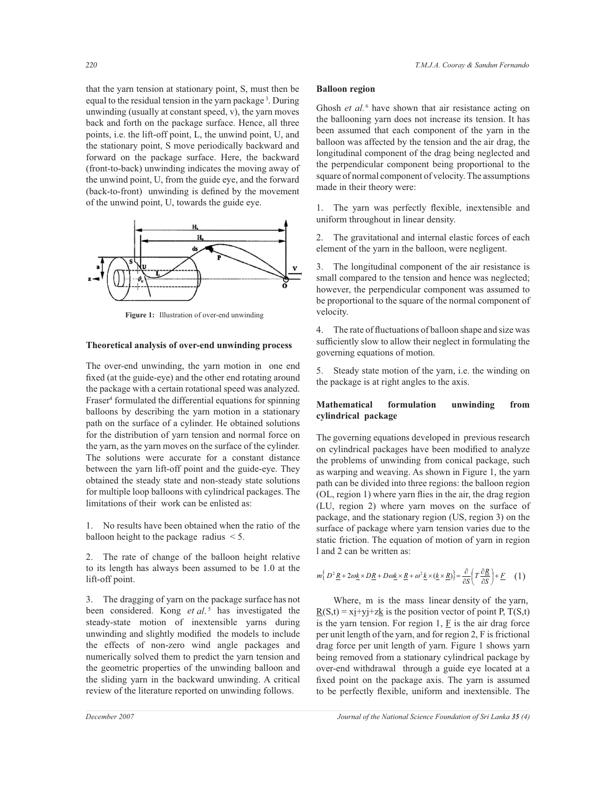that the yarn tension at stationary point, S, must then be equal to the residual tension in the yarn package<sup>3</sup>. During unwinding (usually at constant speed, v), the yarn moves back and forth on the package surface. Hence, all three points, i.e. the lift-off point, L, the unwind point, U, and the stationary point, S move periodically backward and forward on the package surface. Here, the backward (front-to-back) unwinding indicates the moving away of the unwind point, U, from the guide eye, and the forward (back-to-front) unwinding is defined by the movement of the unwind point, U, towards the guide eye.



**Figure 1:** Illustration of over-end unwinding

#### **Theoretical analysis of over-end unwinding process**

The over-end unwinding, the yarn motion in one end fixed (at the guide-eye) and the other end rotating around the package with a certain rotational speed was analyzed. Fraser<sup>4</sup> formulated the differential equations for spinning balloons by describing the yarn motion in a stationary path on the surface of a cylinder. He obtained solutions for the distribution of yarn tension and normal force on the yarn, as the yarn moves on the surface of the cylinder. The solutions were accurate for a constant distance between the yarn lift-off point and the guide-eye. They obtained the steady state and non-steady state solutions for multiple loop balloons with cylindrical packages. The limitations of their work can be enlisted as:

1. No results have been obtained when the ratio of the balloon height to the package radius < 5.

2. The rate of change of the balloon height relative to its length has always been assumed to be 1.0 at the lift-off point.

3. The dragging of yarn on the package surface has not been considered. Kong *et al*. 5 has investigated the steady-state motion of inextensible yarns during unwinding and slightly modified the models to include the effects of non-zero wind angle packages and numerically solved them to predict the yarn tension and the geometric properties of the unwinding balloon and the sliding yarn in the backward unwinding. A critical review of the literature reported on unwinding follows.

Ghosh *et al.* <sup>6</sup> have shown that air resistance acting on the ballooning yarn does not increase its tension. It has been assumed that each component of the yarn in the balloon was affected by the tension and the air drag, the longitudinal component of the drag being neglected and the perpendicular component being proportional to the square of normal component of velocity. The assumptions made in their theory were:

1. The yarn was perfectly flexible, inextensible and uniform throughout in linear density.

2. The gravitational and internal elastic forces of each element of the yarn in the balloon, were negligent.

3. The longitudinal component of the air resistance is small compared to the tension and hence was neglected; however, the perpendicular component was assumed to be proportional to the square of the normal component of velocity.

4. The rate of fluctuations of balloon shape and size was sufficiently slow to allow their neglect in formulating the governing equations of motion.

5. Steady state motion of the yarn, i.e. the winding on the package is at right angles to the axis.

## **Mathematical formulation unwinding from cylindrical package**

The governing equations developed in previous research on cylindrical packages have been modified to analyze the problems of unwinding from conical package, such as warping and weaving. As shown in Figure 1, the yarn path can be divided into three regions: the balloon region (OL, region 1) where yarn flies in the air, the drag region (LU, region 2) where yarn moves on the surface of package, and the stationary region (US, region 3) on the surface of package where yarn tension varies due to the static friction. The equation of motion of yarn in region l and 2 can be written as:

$$
m\Big\{D^2\underline{R} + 2\omega\underline{k}\times D\underline{R} + D\omega\underline{k}\times\underline{R} + \omega^2\underline{k}\times(\underline{k}\times\underline{R})\Big\} = \frac{\partial}{\partial S}\Bigg(T\frac{\partial\underline{R}}{\partial S}\Bigg) + \underline{F} \quad (1)
$$

 Where, m is the mass linear density of the yarn,  $\underline{R}(S,t) = x\underline{i}+y\underline{j}+z\underline{k}$  is the position vector of point P, T(S,t) is the yarn tension. For region  $1$ ,  $F$  is the air drag force per unit length of the yarn, and for region 2, F is frictional drag force per unit length of yarn. Figure 1 shows yarn being removed from a stationary cylindrical package by over-end withdrawal through a guide eye located at a fixed point on the package axis. The yarn is assumed to be perfectly flexible, uniform and inextensible. The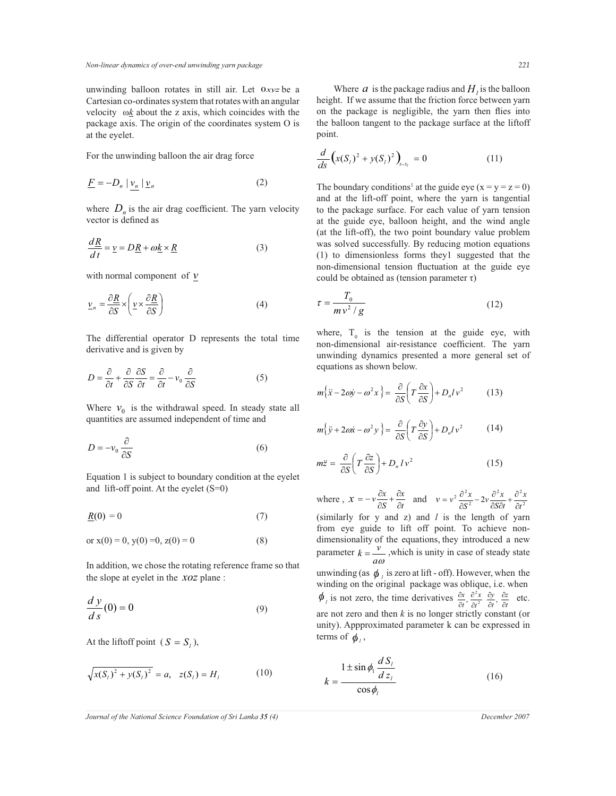unwinding balloon rotates in still air. Let 0*xyz* be a Cartesian co-ordinates system that rotates with an angular velocity ω*k* about the z axis, which coincides with the package axis. The origin of the coordinates system O is at the eyelet.

For the unwinding balloon the air drag force

$$
\underline{F} = -D_n \left| \underline{v}_n \right| \underline{v}_n \tag{2}
$$

where  $D_n$  is the air drag coefficient. The yarn velocity vector is defined as

$$
\frac{d\underline{R}}{dt} = \underline{v} = D\underline{R} + \omega \underline{k} \times \underline{R}
$$
 (3)

with normal component of *v*

$$
\underline{v}_n = \frac{\partial \underline{R}}{\partial S} \times \left( \underline{v} \times \frac{\partial \underline{R}}{\partial S} \right)
$$
 (4)

The differential operator D represents the total time derivative and is given by

$$
D = \frac{\partial}{\partial t} + \frac{\partial}{\partial S} \frac{\partial S}{\partial t} = \frac{\partial}{\partial t} - v_0 \frac{\partial}{\partial S}
$$
(5)

Where  $v_0$  is the withdrawal speed. In steady state all quantities are assumed independent of time and

$$
D = -v_0 \frac{\partial}{\partial S} \tag{6}
$$

Equation 1 is subject to boundary condition at the eyelet and lift-off point. At the eyelet  $(S=0)$ 

$$
\underline{R}(0) = 0 \tag{7}
$$

or 
$$
x(0) = 0
$$
,  $y(0) = 0$ ,  $z(0) = 0$  (8)

In addition, we chose the rotating reference frame so that the slope at eyelet in the *xoz* plane :

$$
\frac{dy}{ds}(0) = 0\tag{9}
$$

At the liftoff point  $(S = S_i)$ ,

$$
\sqrt{x(S_i)^2 + y(S_i)^2} = a, \quad z(S_i) = H_i \tag{10}
$$

Where  $a$  is the package radius and  $H_i$  is the balloon height. If we assume that the friction force between yarn on the package is negligible, the yarn then flies into the balloon tangent to the package surface at the liftoff point.

$$
\frac{d}{ds}\left(x(S_t)^2 + y(S_t)^2\right)_{s=s_l} = 0\tag{11}
$$

The boundary conditions<sup>1</sup> at the guide eye  $(x = y = z = 0)$ and at the lift-off point, where the yarn is tangential to the package surface. For each value of yarn tension at the guide eye, balloon height, and the wind angle (at the lift-off), the two point boundary value problem was solved successfully. By reducing motion equations (1) to dimensionless forms they1 suggested that the non-dimensional tension fluctuation at the guide eye could be obtained as (tension parameter  $\tau$ )

$$
\tau = \frac{T_0}{mv^2/g} \tag{12}
$$

where,  $T_0$  is the tension at the guide eye, with non-dimensional air-resistance coefficient. The yarn unwinding dynamics presented a more general set of equations as shown below.

$$
m\{\ddot{x} - 2\omega \dot{y} - \omega^2 x\} = \frac{\partial}{\partial S} \left( T \frac{\partial x}{\partial S} \right) + D_n l v^2 \tag{13}
$$

$$
m\{\ddot{y} + 2\omega\dot{x} - \omega^2 y\} = \frac{\partial}{\partial S} \left(T \frac{\partial y}{\partial S}\right) + D_n l v^2 \tag{14}
$$

$$
m\ddot{z} = \frac{\partial}{\partial S} \left( T \frac{\partial z}{\partial S} \right) + D_n l v^2 \tag{15}
$$

where ,  $x = -v \frac{\partial x}{\partial s} + \frac{\partial x}{\partial t}$  and (similarly for y and z) and *l* is the length of yarn from eye guide to lift off point. To achieve nondimensionality of the equations, they introduced a new parameter  $k = \frac{v}{a\omega}$  $k = \frac{v}{k}$ , which is unity in case of steady state unwinding (as  $\phi_i$  is zero at lift - off). However, when the winding on the original package was oblique, i.e. when  $\phi$ <sub>*l*</sub> is not zero, the time derivatives  $\frac{\partial x}{\partial t}, \frac{\partial^2 x}{\partial t^2}, \frac{\partial y}{\partial t}, \frac{\partial z}{\partial t}$ *z t y t x t x* ∂ ∂ ∂ ∂ ∂ ∂ ∂  $\frac{\partial x}{\partial t}, \frac{\partial^2 x}{\partial t^2}, \frac{\partial y}{\partial t},$  $\frac{\partial x}{\partial x}$ ,  $\frac{\partial y}{\partial y}$ ,  $\frac{\partial z}{\partial x}$  etc. are not zero and then *k* is no longer strictly constant (or unity). Appproximated parameter k can be expressed in terms of  $\phi_i$ , *x S*  $x = -v \frac{\partial x}{\partial S} + \frac{\partial x}{\partial S}$  $\frac{\partial x}{\partial S} + \frac{\partial}{\partial S}$  $x = -v \frac{\partial x}{\partial S} + \frac{\partial x}{\partial t}$  and  $v = v^2 \frac{\partial^2 x}{\partial S^2} - 2v \frac{\partial^2 x}{\partial S \partial t} + \frac{\partial^2 y}{\partial t^2}$  $2 - 2^2$ 2  $\frac{1}{2} \frac{\partial^2 x}{\partial S^2} - 2v \frac{\partial^2 x}{\partial S \partial t} + \frac{\partial^2 x}{\partial t}$ *x S t*  $\frac{\partial^2 x}{\partial s^2}$  – 2*v*  $\frac{\partial^2 x}{\partial s \partial t}$  $v = v^2 \frac{\partial^2 x}{\partial S^2} - 2v \frac{\partial^2 x}{\partial S \partial t} + \frac{\partial^2 x}{\partial S \partial t}$  $\frac{\partial^2 x}{\partial S \partial t} + \frac{\partial}{\partial t}$  $\frac{\partial^2 x}{\partial S^2} - 2v \frac{\partial^2 x}{\partial S^2}$  $v = v^2 \frac{\partial}{\partial x^2}$ 

$$
k = \frac{1 \pm \sin \phi_1 \frac{d S_i}{d z_i}}{\cos \phi_i} \tag{16}
$$

*k*

*Journal of the National Science Foundation of Sri Lanka 35 (4) December 2007*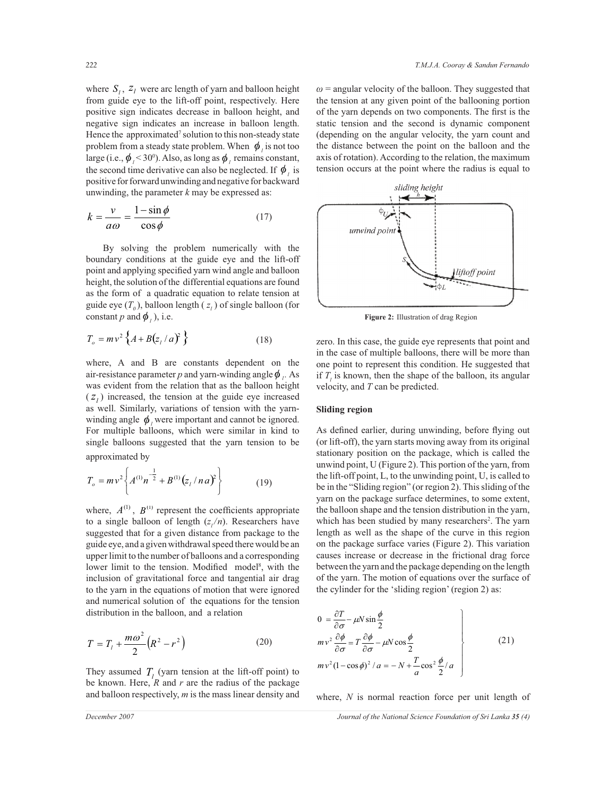where  $S_l$ ,  $Z_l$  were arc length of yarn and balloon height from guide eye to the lift-off point, respectively. Here positive sign indicates decrease in balloon height, and negative sign indicates an increase in balloon length. Hence the approximated<sup>7</sup> solution to this non-steady state problem from a steady state problem. When  $\phi_i$  is not too large (i.e.,  $\phi_{i}$  < 30<sup>0</sup>). Also, as long as  $\phi_{i}$  remains constant, the second time derivative can also be neglected. If  $\phi$ <sup>*l*</sup> is positive for forward unwinding and negative for backward unwinding, the parameter *k* may be expressed as:

$$
k = \frac{v}{a\omega} = \frac{1 - \sin\phi}{\cos\phi} \tag{17}
$$

 By solving the problem numerically with the boundary conditions at the guide eye and the lift-off point and applying specified yarn wind angle and balloon height, the solution of the differential equations are found as the form of a quadratic equation to relate tension at guide eye  $(T_0)$ , balloon length  $(z_i)$  of single balloon (for constant *p* and  $\phi$ <sub>*l*</sub>), i.e.

$$
T_o = mv^2 \left\{ A + B(z_l/a)^2 \right\}
$$
 (18)

where, A and B are constants dependent on the air-resistance parameter *p* and yarn-winding angle  $\phi$ . As was evident from the relation that as the balloon height  $(z<sub>l</sub>)$  increased, the tension at the guide eye increased as well. Similarly, variations of tension with the yarnwinding angle  $\phi$ <sub>*l*</sub> were important and cannot be ignored. For multiple balloons, which were similar in kind to single balloons suggested that the yarn tension to be approximated by

$$
T_o = m v^2 \left\{ A^{(1)} n^{-\frac{1}{2}} + B^{(1)} (z_1 / n a)^2 \right\}
$$
 (19)

where,  $A^{(1)}$ ,  $B^{(1)}$  represent the coefficients appropriate to a single balloon of length  $(z_1/n)$ . Researchers have suggested that for a given distance from package to the guide eye, and a given withdrawal speed there would be an upper limit to the number of balloons and a corresponding lower limit to the tension. Modified model<sup>8</sup>, with the inclusion of gravitational force and tangential air drag to the yarn in the equations of motion that were ignored and numerical solution of the equations for the tension distribution in the balloon, and a relation

$$
T = T_1 + \frac{m\omega^2}{2} (R^2 - r^2)
$$
 (20)

They assumed  $T_l$  (yarn tension at the lift-off point) to be known. Here,  $R$  and  $r$  are the radius of the package and balloon respectively, *m* is the mass linear density and

 $\omega$  = angular velocity of the balloon. They suggested that the tension at any given point of the ballooning portion of the yarn depends on two components. The first is the static tension and the second is dynamic component (depending on the angular velocity, the yarn count and the distance between the point on the balloon and the axis of rotation). According to the relation, the maximum tension occurs at the point where the radius is equal to



**Figure 2:** Illustration of drag Region

zero. In this case, the guide eye represents that point and in the case of multiple balloons, there will be more than one point to represent this condition. He suggested that if  $T_i$  is known, then the shape of the balloon, its angular velocity, and *T* can be predicted.

## **Sliding region**

As defined earlier, during unwinding, before flying out (or lift-off), the yarn starts moving away from its original stationary position on the package, which is called the unwind point, U (Figure 2). This portion of the yarn, from the lift-off point, L, to the unwinding point, U, is called to be in the "Sliding region" (or region 2). This sliding of the yarn on the package surface determines, to some extent, the balloon shape and the tension distribution in the yarn, which has been studied by many researchers<sup>2</sup>. The yarn length as well as the shape of the curve in this region on the package surface varies (Figure 2). This variation causes increase or decrease in the frictional drag force between the yarn and the package depending on the length of the yarn. The motion of equations over the surface of the cylinder for the 'sliding region' (region 2) as:

$$
0 = \frac{\partial T}{\partial \sigma} - \mu N \sin \frac{\phi}{2}
$$
  
\n
$$
m v^2 \frac{\partial \phi}{\partial \sigma} = T \frac{\partial \phi}{\partial \sigma} - \mu N \cos \frac{\phi}{2}
$$
  
\n
$$
m v^2 (1 - \cos \phi)^2 / a = -N + \frac{T}{a} \cos^2 \frac{\phi}{2} / a
$$
\n(21)

where, *N* is normal reaction force per unit length of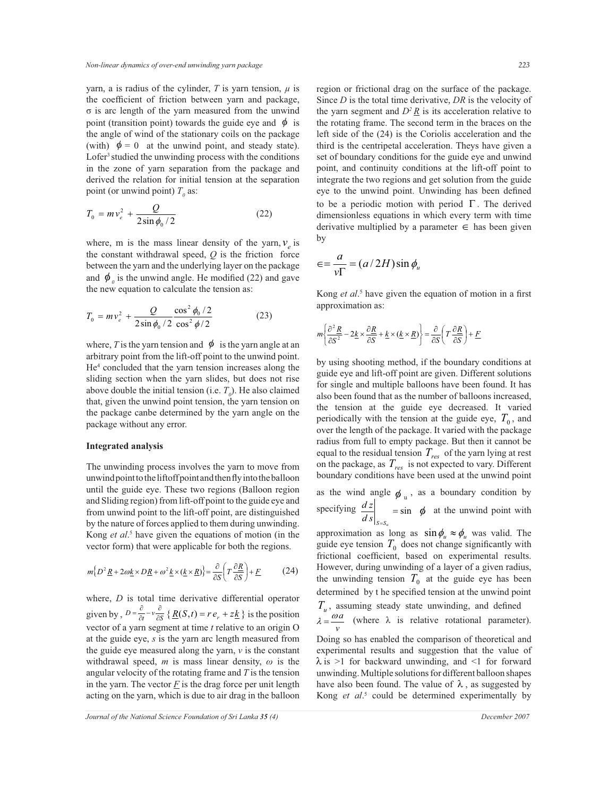yarn, a is radius of the cylinder,  $T$  is yarn tension,  $\mu$  is the coefficient of friction between yarn and package, σ is arc length of the yarn measured from the unwind point (transition point) towards the guide eye and  $\phi$  is the angle of wind of the stationary coils on the package (with)  $\phi = 0$  at the unwind point, and steady state). Lofer<sup>3</sup> studied the unwinding process with the conditions in the zone of yarn separation from the package and derived the relation for initial tension at the separation point (or unwind point)  $T<sub>0</sub>$  as:

$$
T_0 = mv_e^2 + \frac{Q}{2\sin\phi_0/2}
$$
 (22)

where, m is the mass linear density of the yarn,  $v_e$  is the constant withdrawal speed, *Q* is the friction force between the yarn and the underlying layer on the package and  $\phi$ <sub>o</sub> is the unwind angle. He modified (22) and gave the new equation to calculate the tension as:

$$
T_0 = m v_e^2 + \frac{Q}{2 \sin \phi_0 / 2} \frac{\cos^2 \phi_0 / 2}{\cos^2 \phi / 2}
$$
 (23)

where, *T* is the yarn tension and  $\phi$  is the yarn angle at an arbitrary point from the lift-off point to the unwind point. He<sup>4</sup> concluded that the yarn tension increases along the sliding section when the yarn slides, but does not rise above double the initial tension (i.e.  $T<sub>0</sub>$ ). He also claimed that, given the unwind point tension, the yarn tension on the package canbe determined by the yarn angle on the package without any error.

### **Integrated analysis**

The unwinding process involves the yarn to move from unwind point to the liftoff point and then fly into the balloon until the guide eye. These two regions (Balloon region and Sliding region) from lift-off point to the guide eye and from unwind point to the lift-off point, are distinguished by the nature of forces applied to them during unwinding. Kong *et al*. 5 have given the equations of motion (in the vector form) that were applicable for both the regions.

$$
m\left\{D^2 \underline{R} + 2\omega \underline{k} \times D \underline{R} + \omega^2 \underline{k} \times (\underline{k} \times \underline{R})\right\} = \frac{\partial}{\partial S} \left(T \frac{\partial \underline{R}}{\partial S}\right) + \underline{F} \tag{24}
$$

where, *D* is total time derivative differential operator given by,  $D = \frac{b}{\partial t} - v \frac{\partial}{\partial s}$  $\frac{\partial}{\partial t} - v \frac{\partial}{\partial s}$  $=\frac{\partial}{\partial t} - v \frac{\partial}{\partial s} \{ \underline{R}(S,t) = r e_r + z \underline{k} \}$  is the position vector of a yarn segment at time *t* relative to an origin O at the guide eye, *s* is the yarn arc length measured from the guide eye measured along the yarn, *v* is the constant withdrawal speed, *m* is mass linear density, *ω* is the angular velocity of the rotating frame and *T* is the tension in the yarn. The vector  $F$  is the drag force per unit length acting on the yarn, which is due to air drag in the balloon

region or frictional drag on the surface of the package. Since *D* is the total time derivative, *DR* is the velocity of the yarn segment and  $D^2 R$  is its acceleration relative to the rotating frame. The second term in the braces on the left side of the (24) is the Coriolis acceleration and the third is the centripetal acceleration. Theys have given a set of boundary conditions for the guide eye and unwind point, and continuity conditions at the lift-off point to integrate the two regions and get solution from the guide eye to the unwind point. Unwinding has been defined to be a periodic motion with period Γ . The derived

by

$$
\epsilon = \frac{a}{v\Gamma} = (a/2H)\sin\phi_u
$$

Kong *et al*. 5 have given the equation of motion in a first approximation as:

dimensionless equations in which every term with time derivative multiplied by a parameter  $∈$  has been given

$$
m\left\{\frac{\partial^2 \underline{R}}{\partial S^2} - 2\underline{k} \times \frac{\partial \underline{R}}{\partial S} + \underline{k} \times (\underline{k} \times \underline{R})\right\} = \frac{\partial}{\partial S} \left(T \frac{\partial \underline{R}}{\partial S}\right) + \underline{F}
$$

by using shooting method, if the boundary conditions at guide eye and lift-off point are given. Different solutions for single and multiple balloons have been found. It has also been found that as the number of balloons increased, the tension at the guide eye decreased. It varied periodically with the tension at the guide eye,  $T_0$ , and over the length of the package. It varied with the package radius from full to empty package. But then it cannot be equal to the residual tension *Tres* of the yarn lying at rest on the package, as *Tres* is not expected to vary. Different boundary conditions have been used at the unwind point as the wind angle  $\phi_u$ , as a boundary condition by

specifying  $\frac{dz}{dx}$  = sin  $\left. d \, s \right|_{S=S_u}$  $\frac{dz}{dt}$  = sin  $\phi$  at the unwind point with

approximation as long as  $\sin \phi_u \approx \phi_u$  was valid. The guide eye tension  $T_0$  does not change significantly with frictional coefficient, based on experimental results. However, during unwinding of a layer of a given radius, the unwinding tension  $T_0$  at the guide eye has been determined by t he specified tension at the unwind point

*Tu* , assuming steady state unwinding, and defined *v*  $\lambda = \frac{\omega a}{\lambda}$  (where  $\lambda$  is relative rotational parameter).

Doing so has enabled the comparison of theoretical and experimental results and suggestion that the value of  $\lambda$  is >1 for backward unwinding, and <1 for forward unwinding. Multiple solutions for different balloon shapes have also been found. The value of  $\lambda$ , as suggested by Kong *et al.*<sup>5</sup> could be determined experimentally by

*Journal of the National Science Foundation of Sri Lanka 35 (4) December 2007*